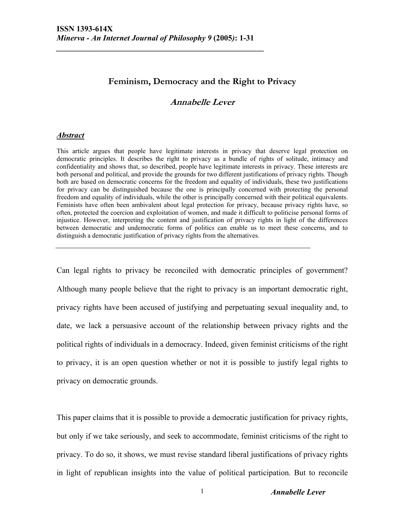## **Feminism, Democracy and the Right to Privacy**

## **Annabelle Lever**

#### *Abstract*

This article argues that people have legitimate interests in privacy that deserve legal protection on democratic principles. It describes the right to privacy as a bundle of rights of solitude, intimacy and confidentiality and shows that, so described, people have legitimate interests in privacy. These interests are both personal and political, and provide the grounds for two different justifications of privacy rights. Though both are based on democratic concerns for the freedom and equality of individuals, these two justifications for privacy can be distinguished because the one is principally concerned with protecting the personal freedom and equality of individuals, while the other is principally concerned with their political equivalents. Feminists have often been ambivalent about legal protection for privacy, because privacy rights have, so often, protected the coercion and exploitation of women, and made it difficult to politicise personal forms of injustice. However, interpreting the content and justification of privacy rights in light of the differences between democratic and undemocratic forms of politics can enable us to meet these concerns, and to distinguish a democratic justification of privacy rights from the alternatives.

Can legal rights to privacy be reconciled with democratic principles of government? Although many people believe that the right to privacy is an important democratic right, privacy rights have been accused of justifying and perpetuating sexual inequality and, to date, we lack a persuasive account of the relationship between privacy rights and the political rights of individuals in a democracy. Indeed, given feminist criticisms of the right to privacy, it is an open question whether or not it is possible to justify legal rights to privacy on democratic grounds.

This paper claims that it is possible to provide a democratic justification for privacy rights, but only if we take seriously, and seek to accommodate, feminist criticisms of the right to privacy. To do so, it shows, we must revise standard liberal justifications of privacy rights in light of republican insights into the value of political participation. But to reconcile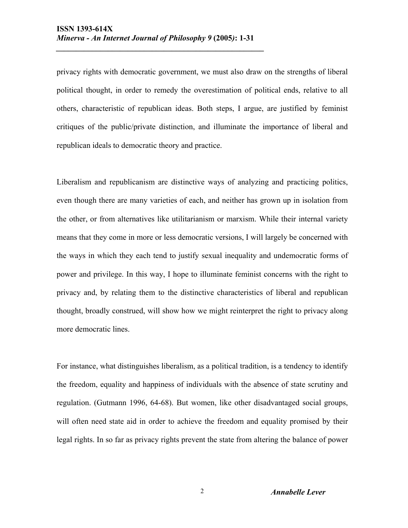privacy rights with democratic government, we must also draw on the strengths of liberal political thought, in order to remedy the overestimation of political ends, relative to all others, characteristic of republican ideas. Both steps, I argue, are justified by feminist critiques of the public/private distinction, and illuminate the importance of liberal and republican ideals to democratic theory and practice.

Liberalism and republicanism are distinctive ways of analyzing and practicing politics, even though there are many varieties of each, and neither has grown up in isolation from the other, or from alternatives like utilitarianism or marxism. While their internal variety means that they come in more or less democratic versions, I will largely be concerned with the ways in which they each tend to justify sexual inequality and undemocratic forms of power and privilege. In this way, I hope to illuminate feminist concerns with the right to privacy and, by relating them to the distinctive characteristics of liberal and republican thought, broadly construed, will show how we might reinterpret the right to privacy along more democratic lines.

For instance, what distinguishes liberalism, as a political tradition, is a tendency to identify the freedom, equality and happiness of individuals with the absence of state scrutiny and regulation. (Gutmann 1996, 64-68). But women, like other disadvantaged social groups, will often need state aid in order to achieve the freedom and equality promised by their legal rights. In so far as privacy rights prevent the state from altering the balance of power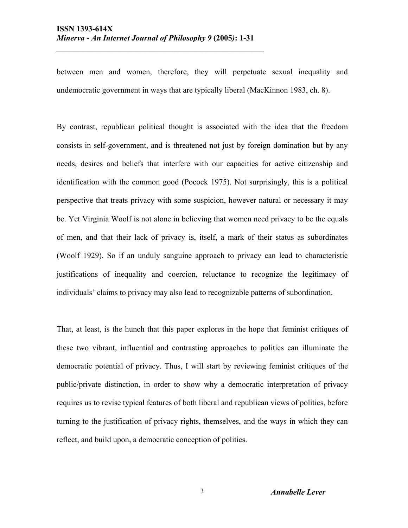between men and women, therefore, they will perpetuate sexual inequality and undemocratic government in ways that are typically liberal (MacKinnon 1983, ch. 8).

By contrast, republican political thought is associated with the idea that the freedom consists in self-government, and is threatened not just by foreign domination but by any needs, desires and beliefs that interfere with our capacities for active citizenship and identification with the common good (Pocock 1975). Not surprisingly, this is a political perspective that treats privacy with some suspicion, however natural or necessary it may be. Yet Virginia Woolf is not alone in believing that women need privacy to be the equals of men, and that their lack of privacy is, itself, a mark of their status as subordinates (Woolf 1929). So if an unduly sanguine approach to privacy can lead to characteristic justifications of inequality and coercion, reluctance to recognize the legitimacy of individuals' claims to privacy may also lead to recognizable patterns of subordination.

That, at least, is the hunch that this paper explores in the hope that feminist critiques of these two vibrant, influential and contrasting approaches to politics can illuminate the democratic potential of privacy. Thus, I will start by reviewing feminist critiques of the public/private distinction, in order to show why a democratic interpretation of privacy requires us to revise typical features of both liberal and republican views of politics, before turning to the justification of privacy rights, themselves, and the ways in which they can reflect, and build upon, a democratic conception of politics.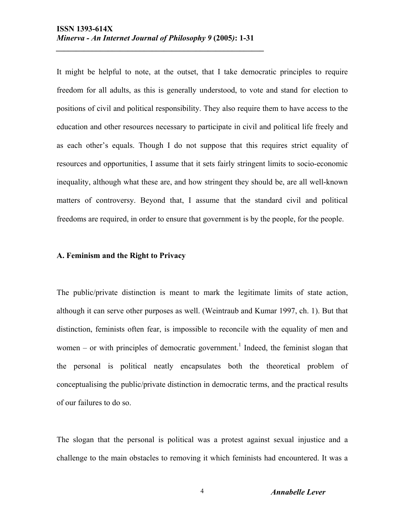It might be helpful to note, at the outset, that I take democratic principles to require freedom for all adults, as this is generally understood, to vote and stand for election to positions of civil and political responsibility. They also require them to have access to the education and other resources necessary to participate in civil and political life freely and as each other's equals. Though I do not suppose that this requires strict equality of resources and opportunities, I assume that it sets fairly stringent limits to socio-economic inequality, although what these are, and how stringent they should be, are all well-known matters of controversy. Beyond that, I assume that the standard civil and political freedoms are required, in order to ensure that government is by the people, for the people.

#### **A. Feminism and the Right to Privacy**

The public/private distinction is meant to mark the legitimate limits of state action, although it can serve other purposes as well. (Weintraub and Kumar 1997, ch. 1). But that distinction, feminists often fear, is impossible to reconcile with the equality of men and women – or with principles of democratic government.<sup>1</sup> Indeed, the feminist slogan that the personal is political neatly encapsulates both the theoretical problem of conceptualising the public/private distinction in democratic terms, and the practical results of our failures to do so.

The slogan that the personal is political was a protest against sexual injustice and a challenge to the main obstacles to removing it which feminists had encountered. It was a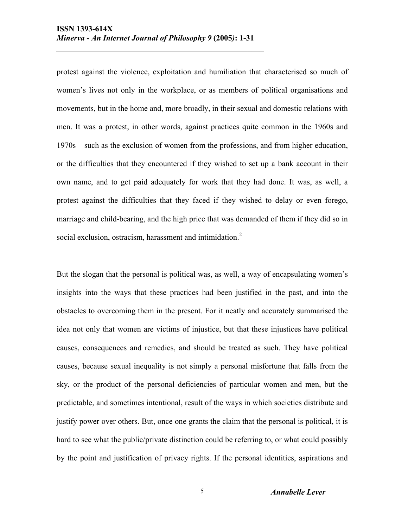protest against the violence, exploitation and humiliation that characterised so much of women's lives not only in the workplace, or as members of political organisations and movements, but in the home and, more broadly, in their sexual and domestic relations with men. It was a protest, in other words, against practices quite common in the 1960s and 1970s – such as the exclusion of women from the professions, and from higher education, or the difficulties that they encountered if they wished to set up a bank account in their own name, and to get paid adequately for work that they had done. It was, as well, a protest against the difficulties that they faced if they wished to delay or even forego, marriage and child-bearing, and the high price that was demanded of them if they did so in social exclusion, ostracism, harassment and intimidation. $2$ 

But the slogan that the personal is political was, as well, a way of encapsulating women's insights into the ways that these practices had been justified in the past, and into the obstacles to overcoming them in the present. For it neatly and accurately summarised the idea not only that women are victims of injustice, but that these injustices have political causes, consequences and remedies, and should be treated as such. They have political causes, because sexual inequality is not simply a personal misfortune that falls from the sky, or the product of the personal deficiencies of particular women and men, but the predictable, and sometimes intentional, result of the ways in which societies distribute and justify power over others. But, once one grants the claim that the personal is political, it is hard to see what the public/private distinction could be referring to, or what could possibly by the point and justification of privacy rights. If the personal identities, aspirations and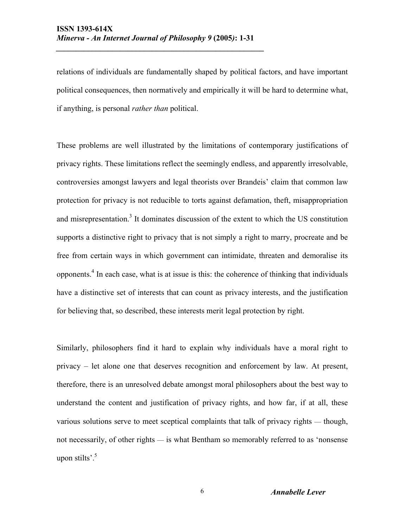relations of individuals are fundamentally shaped by political factors, and have important political consequences, then normatively and empirically it will be hard to determine what, if anything, is personal *rather than* political.

These problems are well illustrated by the limitations of contemporary justifications of privacy rights. These limitations reflect the seemingly endless, and apparently irresolvable, controversies amongst lawyers and legal theorists over Brandeis' claim that common law protection for privacy is not reducible to torts against defamation, theft, misappropriation and misrepresentation.<sup>3</sup> It dominates discussion of the extent to which the US constitution supports a distinctive right to privacy that is not simply a right to marry, procreate and be free from certain ways in which government can intimidate, threaten and demoralise its opponents.<sup>4</sup> In each case, what is at issue is this: the coherence of thinking that individuals have a distinctive set of interests that can count as privacy interests, and the justification for believing that, so described, these interests merit legal protection by right.

Similarly, philosophers find it hard to explain why individuals have a moral right to privacy – let alone one that deserves recognition and enforcement by law. At present, therefore, there is an unresolved debate amongst moral philosophers about the best way to understand the content and justification of privacy rights, and how far, if at all, these various solutions serve to meet sceptical complaints that talk of privacy rights — though, not necessarily, of other rights — is what Bentham so memorably referred to as 'nonsense upon stilts'. $5$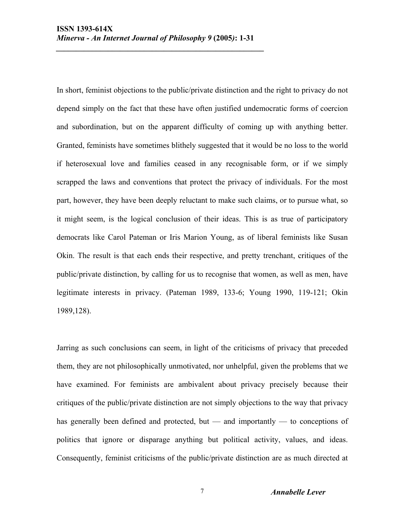In short, feminist objections to the public/private distinction and the right to privacy do not depend simply on the fact that these have often justified undemocratic forms of coercion and subordination, but on the apparent difficulty of coming up with anything better. Granted, feminists have sometimes blithely suggested that it would be no loss to the world if heterosexual love and families ceased in any recognisable form, or if we simply scrapped the laws and conventions that protect the privacy of individuals. For the most part, however, they have been deeply reluctant to make such claims, or to pursue what, so it might seem, is the logical conclusion of their ideas. This is as true of participatory democrats like Carol Pateman or Iris Marion Young, as of liberal feminists like Susan Okin. The result is that each ends their respective, and pretty trenchant, critiques of the public/private distinction, by calling for us to recognise that women, as well as men, have legitimate interests in privacy. (Pateman 1989, 133-6; Young 1990, 119-121; Okin 1989,128).

Jarring as such conclusions can seem, in light of the criticisms of privacy that preceded them, they are not philosophically unmotivated, nor unhelpful, given the problems that we have examined. For feminists are ambivalent about privacy precisely because their critiques of the public/private distinction are not simply objections to the way that privacy has generally been defined and protected, but — and importantly — to conceptions of politics that ignore or disparage anything but political activity, values, and ideas. Consequently, feminist criticisms of the public/private distinction are as much directed at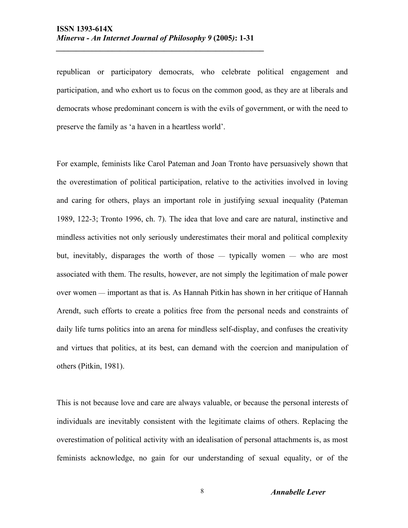republican or participatory democrats, who celebrate political engagement and participation, and who exhort us to focus on the common good, as they are at liberals and democrats whose predominant concern is with the evils of government, or with the need to preserve the family as 'a haven in a heartless world'.

For example, feminists like Carol Pateman and Joan Tronto have persuasively shown that the overestimation of political participation, relative to the activities involved in loving and caring for others, plays an important role in justifying sexual inequality (Pateman 1989, 122-3; Tronto 1996, ch. 7). The idea that love and care are natural, instinctive and mindless activities not only seriously underestimates their moral and political complexity but, inevitably, disparages the worth of those — typically women — who are most associated with them. The results, however, are not simply the legitimation of male power over women — important as that is. As Hannah Pitkin has shown in her critique of Hannah Arendt, such efforts to create a politics free from the personal needs and constraints of daily life turns politics into an arena for mindless self-display, and confuses the creativity and virtues that politics, at its best, can demand with the coercion and manipulation of others (Pitkin, 1981).

This is not because love and care are always valuable, or because the personal interests of individuals are inevitably consistent with the legitimate claims of others. Replacing the overestimation of political activity with an idealisation of personal attachments is, as most feminists acknowledge, no gain for our understanding of sexual equality, or of the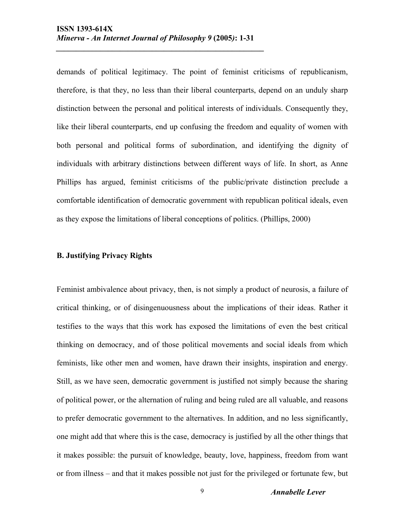demands of political legitimacy. The point of feminist criticisms of republicanism, therefore, is that they, no less than their liberal counterparts, depend on an unduly sharp distinction between the personal and political interests of individuals. Consequently they, like their liberal counterparts, end up confusing the freedom and equality of women with both personal and political forms of subordination, and identifying the dignity of individuals with arbitrary distinctions between different ways of life. In short, as Anne Phillips has argued, feminist criticisms of the public/private distinction preclude a comfortable identification of democratic government with republican political ideals, even as they expose the limitations of liberal conceptions of politics. (Phillips, 2000)

#### **B. Justifying Privacy Rights**

Feminist ambivalence about privacy, then, is not simply a product of neurosis, a failure of critical thinking, or of disingenuousness about the implications of their ideas. Rather it testifies to the ways that this work has exposed the limitations of even the best critical thinking on democracy, and of those political movements and social ideals from which feminists, like other men and women, have drawn their insights, inspiration and energy. Still, as we have seen, democratic government is justified not simply because the sharing of political power, or the alternation of ruling and being ruled are all valuable, and reasons to prefer democratic government to the alternatives. In addition, and no less significantly, one might add that where this is the case, democracy is justified by all the other things that it makes possible: the pursuit of knowledge, beauty, love, happiness, freedom from want or from illness – and that it makes possible not just for the privileged or fortunate few, but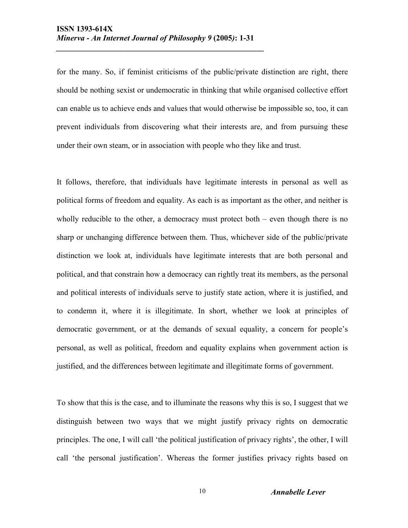for the many. So, if feminist criticisms of the public/private distinction are right, there should be nothing sexist or undemocratic in thinking that while organised collective effort can enable us to achieve ends and values that would otherwise be impossible so, too, it can prevent individuals from discovering what their interests are, and from pursuing these under their own steam, or in association with people who they like and trust.

It follows, therefore, that individuals have legitimate interests in personal as well as political forms of freedom and equality. As each is as important as the other, and neither is wholly reducible to the other, a democracy must protect both  $-$  even though there is no sharp or unchanging difference between them. Thus, whichever side of the public/private distinction we look at, individuals have legitimate interests that are both personal and political, and that constrain how a democracy can rightly treat its members, as the personal and political interests of individuals serve to justify state action, where it is justified, and to condemn it, where it is illegitimate. In short, whether we look at principles of democratic government, or at the demands of sexual equality, a concern for people's personal, as well as political, freedom and equality explains when government action is justified, and the differences between legitimate and illegitimate forms of government.

To show that this is the case, and to illuminate the reasons why this is so, I suggest that we distinguish between two ways that we might justify privacy rights on democratic principles. The one, I will call 'the political justification of privacy rights', the other, I will call 'the personal justification'. Whereas the former justifies privacy rights based on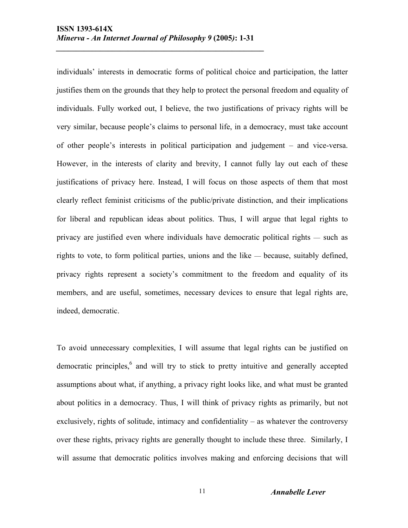individuals' interests in democratic forms of political choice and participation, the latter justifies them on the grounds that they help to protect the personal freedom and equality of individuals. Fully worked out, I believe, the two justifications of privacy rights will be very similar, because people's claims to personal life, in a democracy, must take account of other people's interests in political participation and judgement – and vice-versa. However, in the interests of clarity and brevity, I cannot fully lay out each of these justifications of privacy here. Instead, I will focus on those aspects of them that most clearly reflect feminist criticisms of the public/private distinction, and their implications for liberal and republican ideas about politics. Thus, I will argue that legal rights to privacy are justified even where individuals have democratic political rights — such as rights to vote, to form political parties, unions and the like — because, suitably defined, privacy rights represent a society's commitment to the freedom and equality of its members, and are useful, sometimes, necessary devices to ensure that legal rights are, indeed, democratic.

To avoid unnecessary complexities, I will assume that legal rights can be justified on democratic principles, $6$  and will try to stick to pretty intuitive and generally accepted assumptions about what, if anything, a privacy right looks like, and what must be granted about politics in a democracy. Thus, I will think of privacy rights as primarily, but not exclusively, rights of solitude, intimacy and confidentiality – as whatever the controversy over these rights, privacy rights are generally thought to include these three. Similarly, I will assume that democratic politics involves making and enforcing decisions that will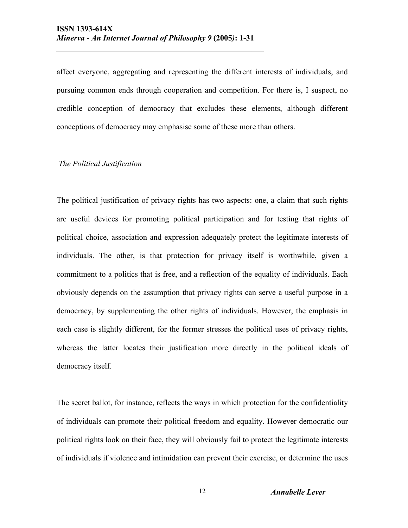affect everyone, aggregating and representing the different interests of individuals, and pursuing common ends through cooperation and competition. For there is, I suspect, no credible conception of democracy that excludes these elements, although different conceptions of democracy may emphasise some of these more than others.

#### *The Political Justification*

The political justification of privacy rights has two aspects: one, a claim that such rights are useful devices for promoting political participation and for testing that rights of political choice, association and expression adequately protect the legitimate interests of individuals. The other, is that protection for privacy itself is worthwhile, given a commitment to a politics that is free, and a reflection of the equality of individuals. Each obviously depends on the assumption that privacy rights can serve a useful purpose in a democracy, by supplementing the other rights of individuals. However, the emphasis in each case is slightly different, for the former stresses the political uses of privacy rights, whereas the latter locates their justification more directly in the political ideals of democracy itself.

The secret ballot, for instance, reflects the ways in which protection for the confidentiality of individuals can promote their political freedom and equality. However democratic our political rights look on their face, they will obviously fail to protect the legitimate interests of individuals if violence and intimidation can prevent their exercise, or determine the uses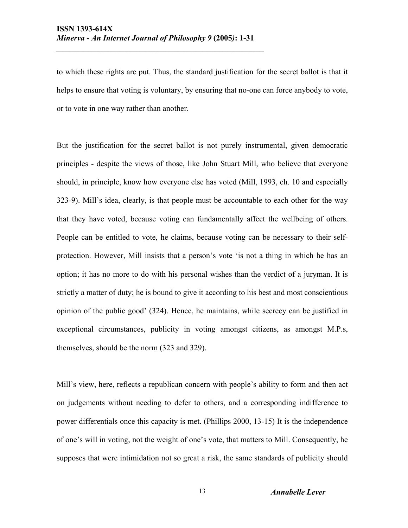to which these rights are put. Thus, the standard justification for the secret ballot is that it helps to ensure that voting is voluntary, by ensuring that no-one can force anybody to vote, or to vote in one way rather than another.

But the justification for the secret ballot is not purely instrumental, given democratic principles - despite the views of those, like John Stuart Mill, who believe that everyone should, in principle, know how everyone else has voted (Mill, 1993, ch. 10 and especially 323-9). Mill's idea, clearly, is that people must be accountable to each other for the way that they have voted, because voting can fundamentally affect the wellbeing of others. People can be entitled to vote, he claims, because voting can be necessary to their selfprotection. However, Mill insists that a person's vote 'is not a thing in which he has an option; it has no more to do with his personal wishes than the verdict of a juryman. It is strictly a matter of duty; he is bound to give it according to his best and most conscientious opinion of the public good' (324). Hence, he maintains, while secrecy can be justified in exceptional circumstances, publicity in voting amongst citizens, as amongst M.P.s, themselves, should be the norm (323 and 329).

Mill's view, here, reflects a republican concern with people's ability to form and then act on judgements without needing to defer to others, and a corresponding indifference to power differentials once this capacity is met. (Phillips 2000, 13-15) It is the independence of one's will in voting, not the weight of one's vote, that matters to Mill. Consequently, he supposes that were intimidation not so great a risk, the same standards of publicity should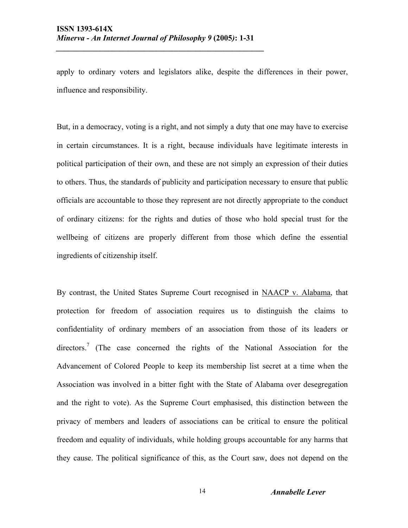apply to ordinary voters and legislators alike, despite the differences in their power, influence and responsibility.

But, in a democracy, voting is a right, and not simply a duty that one may have to exercise in certain circumstances. It is a right, because individuals have legitimate interests in political participation of their own, and these are not simply an expression of their duties to others. Thus, the standards of publicity and participation necessary to ensure that public officials are accountable to those they represent are not directly appropriate to the conduct of ordinary citizens: for the rights and duties of those who hold special trust for the wellbeing of citizens are properly different from those which define the essential ingredients of citizenship itself.

By contrast, the United States Supreme Court recognised in NAACP v. Alabama, that protection for freedom of association requires us to distinguish the claims to confidentiality of ordinary members of an association from those of its leaders or directors.<sup>7</sup> (The case concerned the rights of the National Association for the Advancement of Colored People to keep its membership list secret at a time when the Association was involved in a bitter fight with the State of Alabama over desegregation and the right to vote). As the Supreme Court emphasised, this distinction between the privacy of members and leaders of associations can be critical to ensure the political freedom and equality of individuals, while holding groups accountable for any harms that they cause. The political significance of this, as the Court saw, does not depend on the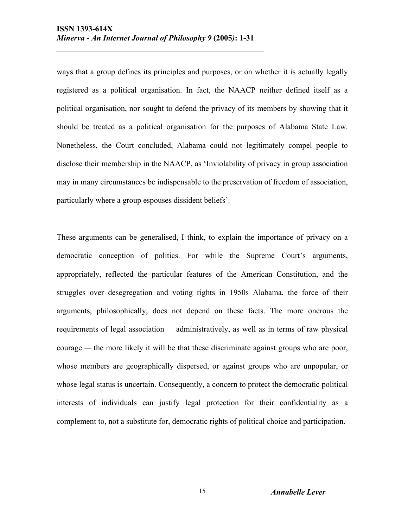ways that a group defines its principles and purposes, or on whether it is actually legally registered as a political organisation. In fact, the NAACP neither defined itself as a political organisation, nor sought to defend the privacy of its members by showing that it should be treated as a political organisation for the purposes of Alabama State Law. Nonetheless, the Court concluded, Alabama could not legitimately compel people to disclose their membership in the NAACP, as 'Inviolability of privacy in group association may in many circumstances be indispensable to the preservation of freedom of association, particularly where a group espouses dissident beliefs'.

These arguments can be generalised, I think, to explain the importance of privacy on a democratic conception of politics. For while the Supreme Court's arguments, appropriately, reflected the particular features of the American Constitution, and the struggles over desegregation and voting rights in 1950s Alabama, the force of their arguments, philosophically, does not depend on these facts. The more onerous the requirements of legal association — administratively, as well as in terms of raw physical courage — the more likely it will be that these discriminate against groups who are poor, whose members are geographically dispersed, or against groups who are unpopular, or whose legal status is uncertain. Consequently, a concern to protect the democratic political interests of individuals can justify legal protection for their confidentiality as a complement to, not a substitute for, democratic rights of political choice and participation.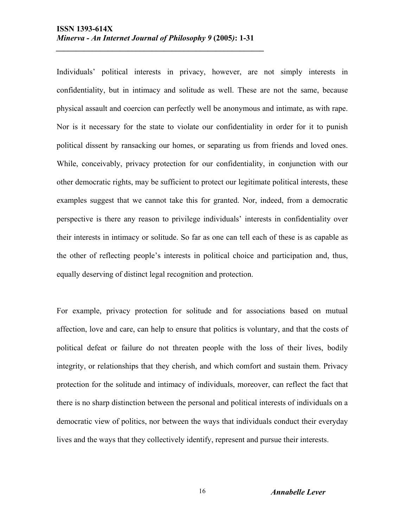Individuals' political interests in privacy, however, are not simply interests in confidentiality, but in intimacy and solitude as well. These are not the same, because physical assault and coercion can perfectly well be anonymous and intimate, as with rape. Nor is it necessary for the state to violate our confidentiality in order for it to punish political dissent by ransacking our homes, or separating us from friends and loved ones. While, conceivably, privacy protection for our confidentiality, in conjunction with our other democratic rights, may be sufficient to protect our legitimate political interests, these examples suggest that we cannot take this for granted. Nor, indeed, from a democratic perspective is there any reason to privilege individuals' interests in confidentiality over their interests in intimacy or solitude. So far as one can tell each of these is as capable as the other of reflecting people's interests in political choice and participation and, thus, equally deserving of distinct legal recognition and protection.

For example, privacy protection for solitude and for associations based on mutual affection, love and care, can help to ensure that politics is voluntary, and that the costs of political defeat or failure do not threaten people with the loss of their lives, bodily integrity, or relationships that they cherish, and which comfort and sustain them. Privacy protection for the solitude and intimacy of individuals, moreover, can reflect the fact that there is no sharp distinction between the personal and political interests of individuals on a democratic view of politics, nor between the ways that individuals conduct their everyday lives and the ways that they collectively identify, represent and pursue their interests.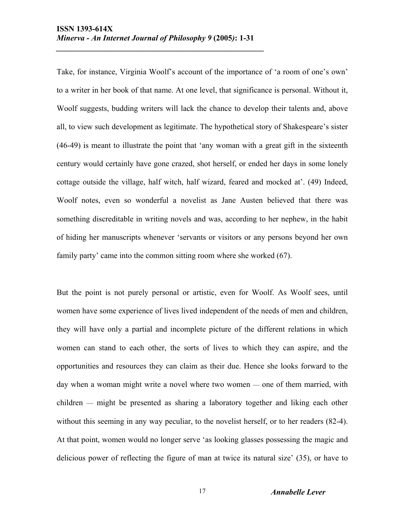Take, for instance, Virginia Woolf's account of the importance of 'a room of one's own' to a writer in her book of that name. At one level, that significance is personal. Without it, Woolf suggests, budding writers will lack the chance to develop their talents and, above all, to view such development as legitimate. The hypothetical story of Shakespeare's sister (46-49) is meant to illustrate the point that 'any woman with a great gift in the sixteenth century would certainly have gone crazed, shot herself, or ended her days in some lonely cottage outside the village, half witch, half wizard, feared and mocked at'. (49) Indeed, Woolf notes, even so wonderful a novelist as Jane Austen believed that there was something discreditable in writing novels and was, according to her nephew, in the habit of hiding her manuscripts whenever 'servants or visitors or any persons beyond her own family party' came into the common sitting room where she worked (67).

But the point is not purely personal or artistic, even for Woolf. As Woolf sees, until women have some experience of lives lived independent of the needs of men and children, they will have only a partial and incomplete picture of the different relations in which women can stand to each other, the sorts of lives to which they can aspire, and the opportunities and resources they can claim as their due. Hence she looks forward to the day when a woman might write a novel where two women — one of them married, with children — might be presented as sharing a laboratory together and liking each other without this seeming in any way peculiar, to the novelist herself, or to her readers (82-4). At that point, women would no longer serve 'as looking glasses possessing the magic and delicious power of reflecting the figure of man at twice its natural size' (35), or have to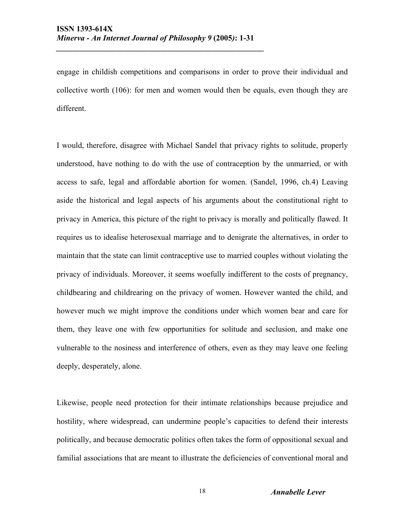engage in childish competitions and comparisons in order to prove their individual and collective worth (106): for men and women would then be equals, even though they are different.

I would, therefore, disagree with Michael Sandel that privacy rights to solitude, properly understood, have nothing to do with the use of contraception by the unmarried, or with access to safe, legal and affordable abortion for women. (Sandel, 1996, ch.4) Leaving aside the historical and legal aspects of his arguments about the constitutional right to privacy in America, this picture of the right to privacy is morally and politically flawed. It requires us to idealise heterosexual marriage and to denigrate the alternatives, in order to maintain that the state can limit contraceptive use to married couples without violating the privacy of individuals. Moreover, it seems woefully indifferent to the costs of pregnancy, childbearing and childrearing on the privacy of women. However wanted the child, and however much we might improve the conditions under which women bear and care for them, they leave one with few opportunities for solitude and seclusion, and make one vulnerable to the nosiness and interference of others, even as they may leave one feeling deeply, desperately, alone.

Likewise, people need protection for their intimate relationships because prejudice and hostility, where widespread, can undermine people's capacities to defend their interests politically, and because democratic politics often takes the form of oppositional sexual and familial associations that are meant to illustrate the deficiencies of conventional moral and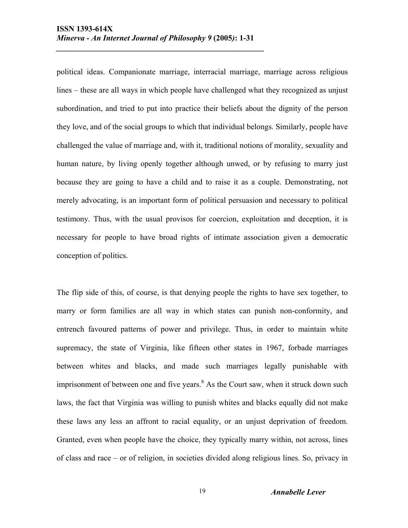political ideas. Companionate marriage, interracial marriage, marriage across religious lines – these are all ways in which people have challenged what they recognized as unjust subordination, and tried to put into practice their beliefs about the dignity of the person they love, and of the social groups to which that individual belongs. Similarly, people have challenged the value of marriage and, with it, traditional notions of morality, sexuality and human nature, by living openly together although unwed, or by refusing to marry just because they are going to have a child and to raise it as a couple. Demonstrating, not merely advocating, is an important form of political persuasion and necessary to political testimony. Thus, with the usual provisos for coercion, exploitation and deception, it is necessary for people to have broad rights of intimate association given a democratic conception of politics.

The flip side of this, of course, is that denying people the rights to have sex together, to marry or form families are all way in which states can punish non-conformity, and entrench favoured patterns of power and privilege. Thus, in order to maintain white supremacy, the state of Virginia, like fifteen other states in 1967, forbade marriages between whites and blacks, and made such marriages legally punishable with imprisonment of between one and five years.<sup>8</sup> As the Court saw, when it struck down such laws, the fact that Virginia was willing to punish whites and blacks equally did not make these laws any less an affront to racial equality, or an unjust deprivation of freedom. Granted, even when people have the choice, they typically marry within, not across, lines of class and race – or of religion, in societies divided along religious lines. So, privacy in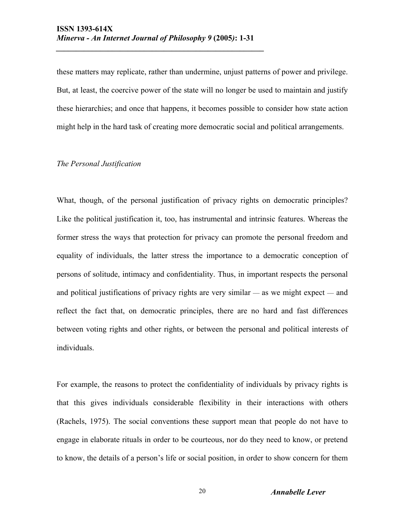these matters may replicate, rather than undermine, unjust patterns of power and privilege. But, at least, the coercive power of the state will no longer be used to maintain and justify these hierarchies; and once that happens, it becomes possible to consider how state action might help in the hard task of creating more democratic social and political arrangements.

#### *The Personal Justification*

What, though, of the personal justification of privacy rights on democratic principles? Like the political justification it, too, has instrumental and intrinsic features. Whereas the former stress the ways that protection for privacy can promote the personal freedom and equality of individuals, the latter stress the importance to a democratic conception of persons of solitude, intimacy and confidentiality. Thus, in important respects the personal and political justifications of privacy rights are very similar — as we might expect — and reflect the fact that, on democratic principles, there are no hard and fast differences between voting rights and other rights, or between the personal and political interests of individuals.

For example, the reasons to protect the confidentiality of individuals by privacy rights is that this gives individuals considerable flexibility in their interactions with others (Rachels, 1975). The social conventions these support mean that people do not have to engage in elaborate rituals in order to be courteous, nor do they need to know, or pretend to know, the details of a person's life or social position, in order to show concern for them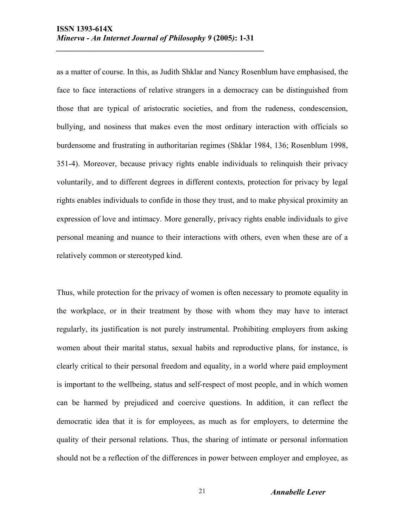as a matter of course. In this, as Judith Shklar and Nancy Rosenblum have emphasised, the face to face interactions of relative strangers in a democracy can be distinguished from those that are typical of aristocratic societies, and from the rudeness, condescension, bullying, and nosiness that makes even the most ordinary interaction with officials so burdensome and frustrating in authoritarian regimes (Shklar 1984, 136; Rosenblum 1998, 351-4). Moreover, because privacy rights enable individuals to relinquish their privacy voluntarily, and to different degrees in different contexts, protection for privacy by legal rights enables individuals to confide in those they trust, and to make physical proximity an expression of love and intimacy. More generally, privacy rights enable individuals to give personal meaning and nuance to their interactions with others, even when these are of a relatively common or stereotyped kind.

Thus, while protection for the privacy of women is often necessary to promote equality in the workplace, or in their treatment by those with whom they may have to interact regularly, its justification is not purely instrumental. Prohibiting employers from asking women about their marital status, sexual habits and reproductive plans, for instance, is clearly critical to their personal freedom and equality, in a world where paid employment is important to the wellbeing, status and self-respect of most people, and in which women can be harmed by prejudiced and coercive questions. In addition, it can reflect the democratic idea that it is for employees, as much as for employers, to determine the quality of their personal relations. Thus, the sharing of intimate or personal information should not be a reflection of the differences in power between employer and employee, as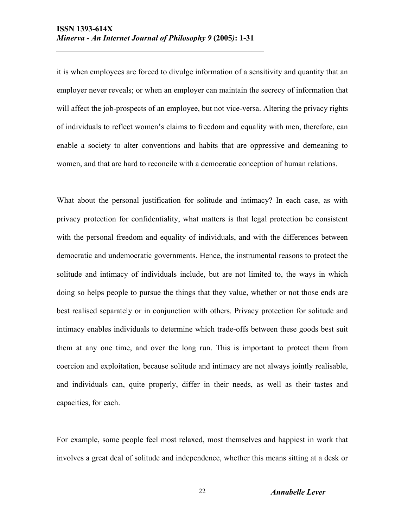it is when employees are forced to divulge information of a sensitivity and quantity that an employer never reveals; or when an employer can maintain the secrecy of information that will affect the job-prospects of an employee, but not vice-versa. Altering the privacy rights of individuals to reflect women's claims to freedom and equality with men, therefore, can enable a society to alter conventions and habits that are oppressive and demeaning to women, and that are hard to reconcile with a democratic conception of human relations.

What about the personal justification for solitude and intimacy? In each case, as with privacy protection for confidentiality, what matters is that legal protection be consistent with the personal freedom and equality of individuals, and with the differences between democratic and undemocratic governments. Hence, the instrumental reasons to protect the solitude and intimacy of individuals include, but are not limited to, the ways in which doing so helps people to pursue the things that they value, whether or not those ends are best realised separately or in conjunction with others. Privacy protection for solitude and intimacy enables individuals to determine which trade-offs between these goods best suit them at any one time, and over the long run. This is important to protect them from coercion and exploitation, because solitude and intimacy are not always jointly realisable, and individuals can, quite properly, differ in their needs, as well as their tastes and capacities, for each.

For example, some people feel most relaxed, most themselves and happiest in work that involves a great deal of solitude and independence, whether this means sitting at a desk or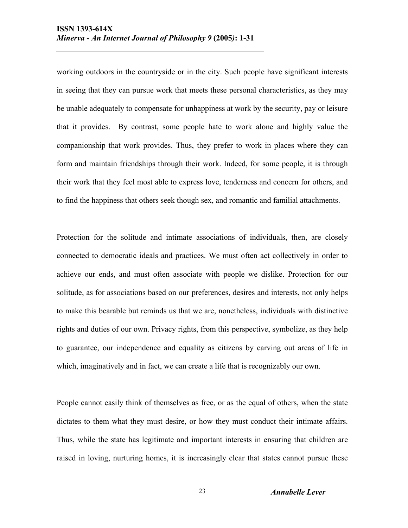working outdoors in the countryside or in the city. Such people have significant interests in seeing that they can pursue work that meets these personal characteristics, as they may be unable adequately to compensate for unhappiness at work by the security, pay or leisure that it provides. By contrast, some people hate to work alone and highly value the companionship that work provides. Thus, they prefer to work in places where they can form and maintain friendships through their work. Indeed, for some people, it is through their work that they feel most able to express love, tenderness and concern for others, and to find the happiness that others seek though sex, and romantic and familial attachments.

Protection for the solitude and intimate associations of individuals, then, are closely connected to democratic ideals and practices. We must often act collectively in order to achieve our ends, and must often associate with people we dislike. Protection for our solitude, as for associations based on our preferences, desires and interests, not only helps to make this bearable but reminds us that we are, nonetheless, individuals with distinctive rights and duties of our own. Privacy rights, from this perspective, symbolize, as they help to guarantee, our independence and equality as citizens by carving out areas of life in which, imaginatively and in fact, we can create a life that is recognizably our own.

People cannot easily think of themselves as free, or as the equal of others, when the state dictates to them what they must desire, or how they must conduct their intimate affairs. Thus, while the state has legitimate and important interests in ensuring that children are raised in loving, nurturing homes, it is increasingly clear that states cannot pursue these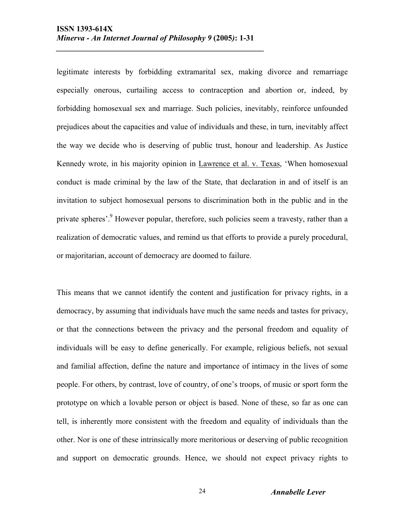legitimate interests by forbidding extramarital sex, making divorce and remarriage especially onerous, curtailing access to contraception and abortion or, indeed, by forbidding homosexual sex and marriage. Such policies, inevitably, reinforce unfounded prejudices about the capacities and value of individuals and these, in turn, inevitably affect the way we decide who is deserving of public trust, honour and leadership. As Justice Kennedy wrote, in his majority opinion in Lawrence et al. v. Texas, 'When homosexual conduct is made criminal by the law of the State, that declaration in and of itself is an invitation to subject homosexual persons to discrimination both in the public and in the private spheres'.<sup>9</sup> However popular, therefore, such policies seem a travesty, rather than a realization of democratic values, and remind us that efforts to provide a purely procedural, or majoritarian, account of democracy are doomed to failure.

This means that we cannot identify the content and justification for privacy rights, in a democracy, by assuming that individuals have much the same needs and tastes for privacy, or that the connections between the privacy and the personal freedom and equality of individuals will be easy to define generically. For example, religious beliefs, not sexual and familial affection, define the nature and importance of intimacy in the lives of some people. For others, by contrast, love of country, of one's troops, of music or sport form the prototype on which a lovable person or object is based. None of these, so far as one can tell, is inherently more consistent with the freedom and equality of individuals than the other. Nor is one of these intrinsically more meritorious or deserving of public recognition and support on democratic grounds. Hence, we should not expect privacy rights to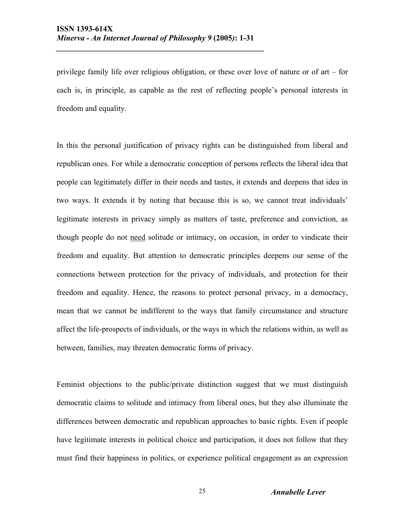privilege family life over religious obligation, or these over love of nature or of art – for each is, in principle, as capable as the rest of reflecting people's personal interests in freedom and equality.

In this the personal justification of privacy rights can be distinguished from liberal and republican ones. For while a democratic conception of persons reflects the liberal idea that people can legitimately differ in their needs and tastes, it extends and deepens that idea in two ways. It extends it by noting that because this is so, we cannot treat individuals' legitimate interests in privacy simply as matters of taste, preference and conviction, as though people do not need solitude or intimacy, on occasion, in order to vindicate their freedom and equality. But attention to democratic principles deepens our sense of the connections between protection for the privacy of individuals, and protection for their freedom and equality. Hence, the reasons to protect personal privacy, in a democracy, mean that we cannot be indifferent to the ways that family circumstance and structure affect the life-prospects of individuals, or the ways in which the relations within, as well as between, families, may threaten democratic forms of privacy.

Feminist objections to the public/private distinction suggest that we must distinguish democratic claims to solitude and intimacy from liberal ones, but they also illuminate the differences between democratic and republican approaches to basic rights. Even if people have legitimate interests in political choice and participation, it does not follow that they must find their happiness in politics, or experience political engagement as an expression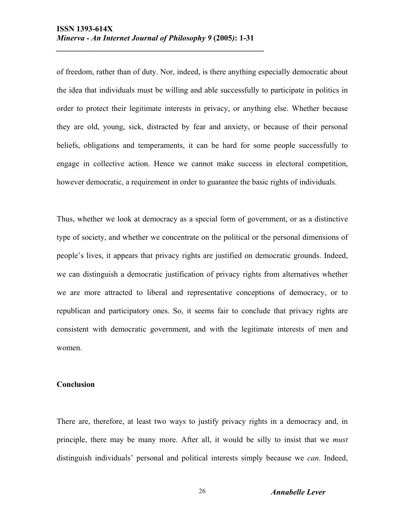of freedom, rather than of duty. Nor, indeed, is there anything especially democratic about the idea that individuals must be willing and able successfully to participate in politics in order to protect their legitimate interests in privacy, or anything else. Whether because they are old, young, sick, distracted by fear and anxiety, or because of their personal beliefs, obligations and temperaments, it can be hard for some people successfully to engage in collective action. Hence we cannot make success in electoral competition, however democratic, a requirement in order to guarantee the basic rights of individuals.

Thus, whether we look at democracy as a special form of government, or as a distinctive type of society, and whether we concentrate on the political or the personal dimensions of people's lives, it appears that privacy rights are justified on democratic grounds. Indeed, we can distinguish a democratic justification of privacy rights from alternatives whether we are more attracted to liberal and representative conceptions of democracy, or to republican and participatory ones. So, it seems fair to conclude that privacy rights are consistent with democratic government, and with the legitimate interests of men and women.

#### **Conclusion**

There are, therefore, at least two ways to justify privacy rights in a democracy and, in principle, there may be many more. After all, it would be silly to insist that we *must* distinguish individuals' personal and political interests simply because we *can*. Indeed,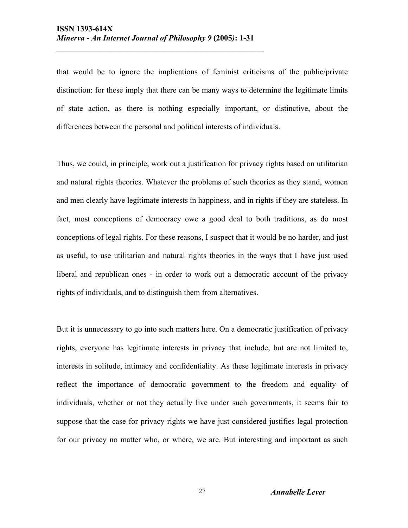that would be to ignore the implications of feminist criticisms of the public/private distinction: for these imply that there can be many ways to determine the legitimate limits of state action, as there is nothing especially important, or distinctive, about the differences between the personal and political interests of individuals.

Thus, we could, in principle, work out a justification for privacy rights based on utilitarian and natural rights theories. Whatever the problems of such theories as they stand, women and men clearly have legitimate interests in happiness, and in rights if they are stateless. In fact, most conceptions of democracy owe a good deal to both traditions, as do most conceptions of legal rights. For these reasons, I suspect that it would be no harder, and just as useful, to use utilitarian and natural rights theories in the ways that I have just used liberal and republican ones - in order to work out a democratic account of the privacy rights of individuals, and to distinguish them from alternatives.

But it is unnecessary to go into such matters here. On a democratic justification of privacy rights, everyone has legitimate interests in privacy that include, but are not limited to, interests in solitude, intimacy and confidentiality. As these legitimate interests in privacy reflect the importance of democratic government to the freedom and equality of individuals, whether or not they actually live under such governments, it seems fair to suppose that the case for privacy rights we have just considered justifies legal protection for our privacy no matter who, or where, we are. But interesting and important as such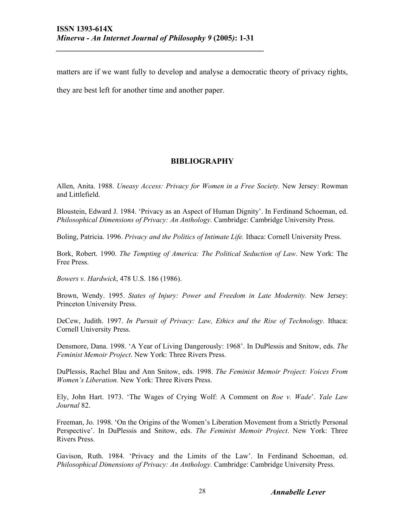matters are if we want fully to develop and analyse a democratic theory of privacy rights,

they are best left for another time and another paper.

# **BIBLIOGRAPHY**

Allen, Anita. 1988. *Uneasy Access: Privacy for Women in a Free Society.* New Jersey: Rowman and Littlefield.

Bloustein, Edward J. 1984. 'Privacy as an Aspect of Human Dignity'. In Ferdinand Schoeman, ed. *Philosophical Dimensions of Privacy: An Anthology.* Cambridge: Cambridge University Press.

Boling, Patricia. 1996. *Privacy and the Politics of Intimate Life.* Ithaca: Cornell University Press.

Bork, Robert. 1990. *The Tempting of America: The Political Seduction of Law*. New York: The Free Press.

*Bowers v. Hardwick*, 478 U.S. 186 (1986).

Brown, Wendy. 1995. *States of Injury: Power and Freedom in Late Modernity.* New Jersey: Princeton University Press.

DeCew, Judith. 1997. *In Pursuit of Privacy: Law, Ethics and the Rise of Technology.* Ithaca: Cornell University Press.

Densmore, Dana. 1998. 'A Year of Living Dangerously: 1968'. In DuPlessis and Snitow, eds. *The Feminist Memoir Project*. New York: Three Rivers Press.

DuPlessis, Rachel Blau and Ann Snitow, eds. 1998. *The Feminist Memoir Project: Voices From Women's Liberation.* New York: Three Rivers Press.

Ely, John Hart. 1973. 'The Wages of Crying Wolf: A Comment on *Roe v. Wade*'. *Yale Law Journal* 82.

Freeman, Jo. 1998. 'On the Origins of the Women's Liberation Movement from a Strictly Personal Perspective'. In DuPlessis and Snitow, eds. *The Feminist Memoir Project*. New York: Three Rivers Press.

Gavison, Ruth. 1984. 'Privacy and the Limits of the Law'. In Ferdinand Schoeman, ed. *Philosophical Dimensions of Privacy: An Anthology.* Cambridge: Cambridge University Press.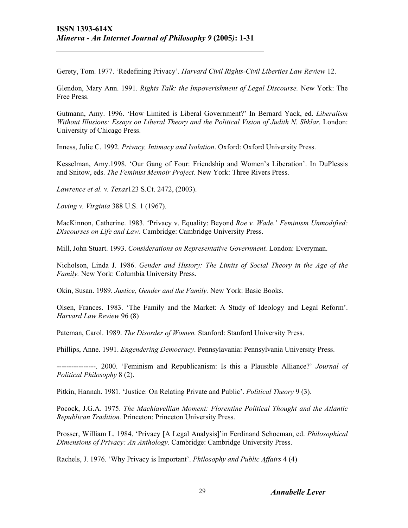Gerety, Tom. 1977. 'Redefining Privacy'. *Harvard Civil Rights-Civil Liberties Law Review* 12.

Glendon, Mary Ann. 1991. *Rights Talk: the Impoverishment of Legal Discourse.* New York: The Free Press.

Gutmann, Amy. 1996. 'How Limited is Liberal Government?' In Bernard Yack, ed. *Liberalism Without Illusions: Essays on Liberal Theory and the Political Vision of Judith N. Shklar.* London: University of Chicago Press.

Inness, Julie C. 1992. *Privacy, Intimacy and Isolation*. Oxford: Oxford University Press.

Kesselman, Amy.1998. 'Our Gang of Four: Friendship and Women's Liberation'. In DuPlessis and Snitow, eds. *The Feminist Memoir Project*. New York: Three Rivers Press.

*Lawrence et al. v. Texas*123 S.Ct. 2472, (2003).

*Loving v. Virginia* 388 U.S. 1 (1967).

MacKinnon, Catherine. 1983. 'Privacy v. Equality: Beyond *Roe v. Wade.*' *Feminism Unmodified: Discourses on Life and Law*. Cambridge: Cambridge University Press.

Mill, John Stuart. 1993. *Considerations on Representative Government.* London: Everyman.

Nicholson, Linda J. 1986. *Gender and History: The Limits of Social Theory in the Age of the Family.* New York: Columbia University Press.

Okin, Susan. 1989. *Justice, Gender and the Family.* New York: Basic Books.

Olsen, Frances. 1983. 'The Family and the Market: A Study of Ideology and Legal Reform'. *Harvard Law Review* 96 (8)

Pateman, Carol. 1989. *The Disorder of Women.* Stanford: Stanford University Press.

Phillips, Anne. 1991. *Engendering Democracy*. Pennsylavania: Pennsylvania University Press.

----------------. 2000. 'Feminism and Republicanism: Is this a Plausible Alliance?' *Journal of Political Philosophy* 8 (2).

Pitkin, Hannah. 1981. 'Justice: On Relating Private and Public'. *Political Theory* 9 (3).

Pocock, J.G.A. 1975. *The Machiavellian Moment: Florentine Political Thought and the Atlantic Republican Tradition.* Princeton: Princeton University Press.

Prosser, William L. 1984. 'Privacy [A Legal Analysis]'in Ferdinand Schoeman, ed. *Philosophical Dimensions of Privacy: An Anthology*. Cambridge: Cambridge University Press.

Rachels, J. 1976. 'Why Privacy is Important'. *Philosophy and Public Affairs* 4 (4)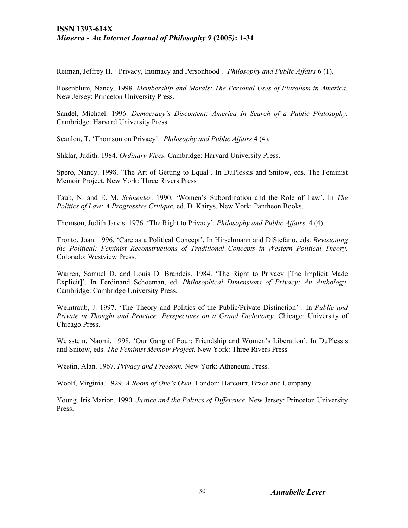Reiman, Jeffrey H. ' Privacy, Intimacy and Personhood'. *Philosophy and Public Affairs* 6 (1).

Rosenblum, Nancy. 1998. *Membership and Morals: The Personal Uses of Pluralism in America.*  New Jersey: Princeton University Press.

Sandel, Michael. 1996. *Democracy's Discontent: America In Search of a Public Philosophy.*  Cambridge: Harvard University Press.

Scanlon, T. 'Thomson on Privacy'. *Philosophy and Public Affairs* 4 (4).

Shklar, Judith. 1984. *Ordinary Vices.* Cambridge: Harvard University Press.

Spero, Nancy. 1998. 'The Art of Getting to Equal'. In DuPlessis and Snitow, eds. The Feminist Memoir Project. New York: Three Rivers Press

Taub, N. and E. M. *Schneider*. 1990. 'Women's Subordination and the Role of Law'. In *The Politics of Law: A Progressive Critique*, ed. D. Kairys. New York: Pantheon Books.

Thomson, Judith Jarvis. 1976. 'The Right to Privacy'. *Philosophy and Public Affairs.* 4 (4).

Tronto, Joan. 1996. 'Care as a Political Concept'. In Hirschmann and DiStefano, eds. *Revisioning the Political: Feminist Reconstructions of Traditional Concepts in Western Political Theory.*  Colorado: Westview Press.

Warren, Samuel D. and Louis D. Brandeis. 1984. 'The Right to Privacy [The Implicit Made Explicit]'. In Ferdinand Schoeman, ed. *Philosophical Dimensions of Privacy: An Anthology*. Cambridge: Cambridge University Press.

Weintraub, J. 1997. 'The Theory and Politics of the Public/Private Distinction' . In *Public and Private in Thought and Practice: Perspectives on a Grand Dichotomy*. Chicago: University of Chicago Press.

Weisstein, Naomi. 1998. 'Our Gang of Four: Friendship and Women's Liberation'. In DuPlessis and Snitow, eds. *The Feminist Memoir Project.* New York: Three Rivers Press

Westin, Alan. 1967. *Privacy and Freedom.* New York: Atheneum Press.

1

Woolf, Virginia. 1929. *A Room of One's Own.* London: Harcourt, Brace and Company.

Young, Iris Marion. 1990. *Justice and the Politics of Difference.* New Jersey: Princeton University Press.